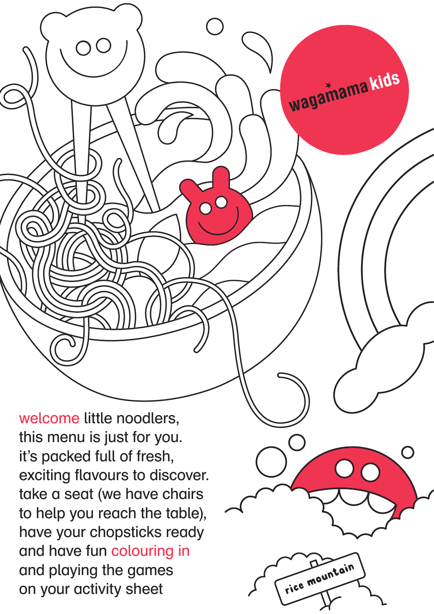welcome little noodlers, this menu is just for you. it's packed full of fresh, exciting flavours to discover. take a seat (we have chairs to help you reach the table), have your chopsticks ready and have fun colouring in and playing the games on your activity sheet

wagamama kids

rice mountain

 $O^{\bullet}$